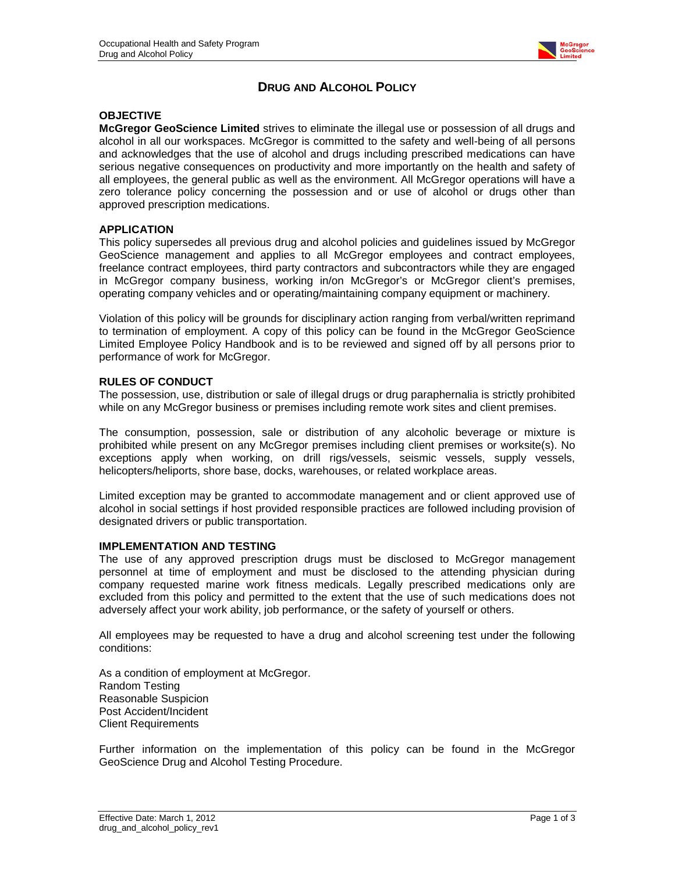

# **DRUG AND ALCOHOL POLICY**

## **OBJECTIVE**

**McGregor GeoScience Limited** strives to eliminate the illegal use or possession of all drugs and alcohol in all our workspaces. McGregor is committed to the safety and well-being of all persons and acknowledges that the use of alcohol and drugs including prescribed medications can have serious negative consequences on productivity and more importantly on the health and safety of all employees, the general public as well as the environment. All McGregor operations will have a zero tolerance policy concerning the possession and or use of alcohol or drugs other than approved prescription medications.

### **APPLICATION**

This policy supersedes all previous drug and alcohol policies and guidelines issued by McGregor GeoScience management and applies to all McGregor employees and contract employees, freelance contract employees, third party contractors and subcontractors while they are engaged in McGregor company business, working in/on McGregor's or McGregor client's premises, operating company vehicles and or operating/maintaining company equipment or machinery.

Violation of this policy will be grounds for disciplinary action ranging from verbal/written reprimand to termination of employment. A copy of this policy can be found in the McGregor GeoScience Limited Employee Policy Handbook and is to be reviewed and signed off by all persons prior to performance of work for McGregor.

### **RULES OF CONDUCT**

The possession, use, distribution or sale of illegal drugs or drug paraphernalia is strictly prohibited while on any McGregor business or premises including remote work sites and client premises.

The consumption, possession, sale or distribution of any alcoholic beverage or mixture is prohibited while present on any McGregor premises including client premises or worksite(s). No exceptions apply when working, on drill rigs/vessels, seismic vessels, supply vessels, helicopters/heliports, shore base, docks, warehouses, or related workplace areas.

Limited exception may be granted to accommodate management and or client approved use of alcohol in social settings if host provided responsible practices are followed including provision of designated drivers or public transportation.

#### **IMPLEMENTATION AND TESTING**

The use of any approved prescription drugs must be disclosed to McGregor management personnel at time of employment and must be disclosed to the attending physician during company requested marine work fitness medicals. Legally prescribed medications only are excluded from this policy and permitted to the extent that the use of such medications does not adversely affect your work ability, job performance, or the safety of yourself or others.

All employees may be requested to have a drug and alcohol screening test under the following conditions:

As a condition of employment at McGregor. Random Testing Reasonable Suspicion Post Accident/Incident Client Requirements

Further information on the implementation of this policy can be found in the McGregor GeoScience Drug and Alcohol Testing Procedure.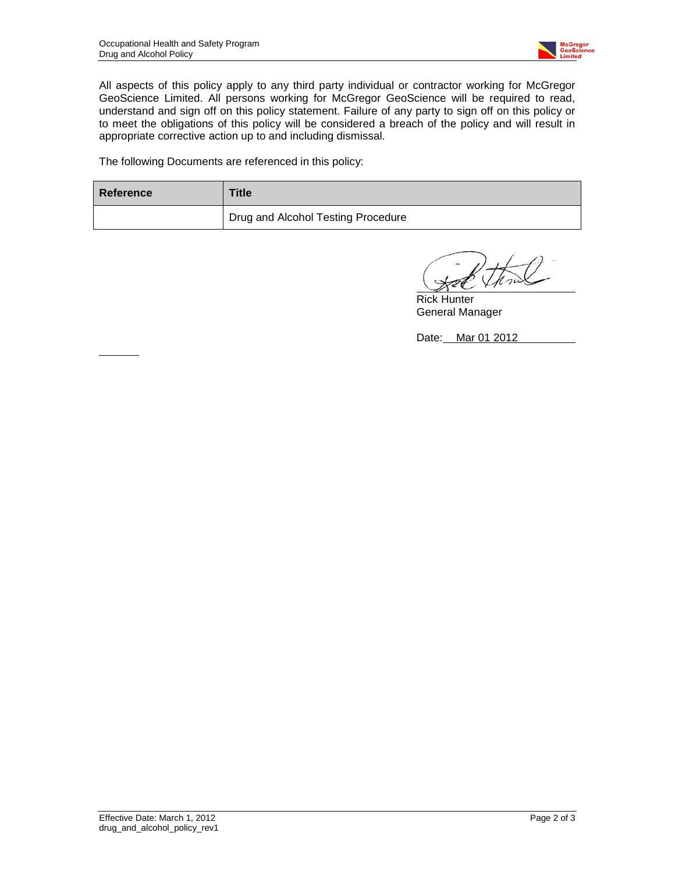

All aspects of this policy apply to any third party individual or contractor working for McGregor GeoScience Limited. All persons working for McGregor GeoScience will be required to read, understand and sign off on this policy statement. Failure of any party to sign off on this policy or to meet the obligations of this policy will be considered a breach of the policy and will result in appropriate corrective action up to and including dismissal.

The following Documents are referenced in this policy:

| Reference | <b>Title</b>                              |
|-----------|-------------------------------------------|
|           | <b>Drug and Alcohol Testing Procedure</b> |

Rick Hunter General Manager

Date: Mar 01 2012